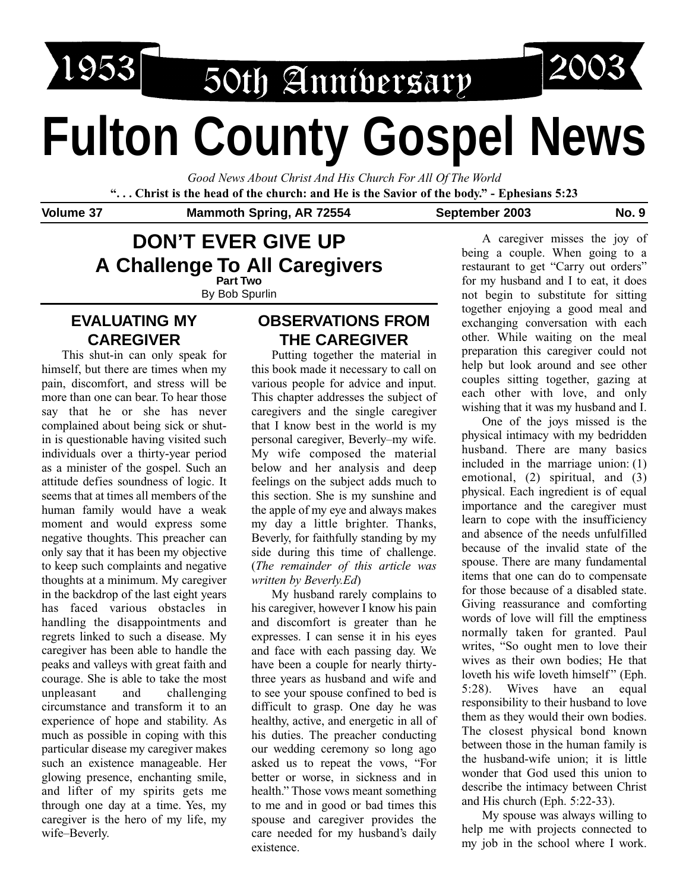

# **Fulton County Gospel News**

*Good News About Christ And His Church For All Of The World*

**". . . Christ is the head of the church: and He is the Savior of the body." - Ephesians 5:23**

Volume 37 Mammoth Spring, AR 72554 September 2003 No. 9

# **DON'T EVER GIVE UP A Challenge To All Caregivers Part Two**

By Bob Spurlin

# **EVALUATING MY CAREGIVER**

This shut-in can only speak for himself, but there are times when my pain, discomfort, and stress will be more than one can bear. To hear those say that he or she has never complained about being sick or shutin is questionable having visited such individuals over a thirty-year period as a minister of the gospel. Such an attitude defies soundness of logic. It seems that at times all members of the human family would have a weak moment and would express some negative thoughts. This preacher can only say that it has been my objective to keep such complaints and negative thoughts at a minimum. My caregiver in the backdrop of the last eight years has faced various obstacles in handling the disappointments and regrets linked to such a disease. My caregiver has been able to handle the peaks and valleys with great faith and courage. She is able to take the most unpleasant and challenging circumstance and transform it to an experience of hope and stability. As much as possible in coping with this particular disease my caregiver makes such an existence manageable. Her glowing presence, enchanting smile, and lifter of my spirits gets me through one day at a time. Yes, my caregiver is the hero of my life, my wife–Beverly.

# **OBSERVATIONS FROM THE CAREGIVER**

Putting together the material in this book made it necessary to call on various people for advice and input. This chapter addresses the subject of caregivers and the single caregiver that I know best in the world is my personal caregiver, Beverly–my wife. My wife composed the material below and her analysis and deep feelings on the subject adds much to this section. She is my sunshine and the apple of my eye and always makes my day a little brighter. Thanks, Beverly, for faithfully standing by my side during this time of challenge. (*The remainder of this article was written by Beverly.Ed*)

My husband rarely complains to his caregiver, however I know his pain and discomfort is greater than he expresses. I can sense it in his eyes and face with each passing day. We have been a couple for nearly thirtythree years as husband and wife and to see your spouse confined to bed is difficult to grasp. One day he was healthy, active, and energetic in all of his duties. The preacher conducting our wedding ceremony so long ago asked us to repeat the vows, "For better or worse, in sickness and in health." Those vows meant something to me and in good or bad times this spouse and caregiver provides the care needed for my husband's daily existence.

A caregiver misses the joy of being a couple. When going to a restaurant to get "Carry out orders" for my husband and I to eat, it does not begin to substitute for sitting together enjoying a good meal and exchanging conversation with each other. While waiting on the meal preparation this caregiver could not help but look around and see other couples sitting together, gazing at each other with love, and only wishing that it was my husband and I.

One of the joys missed is the physical intimacy with my bedridden husband. There are many basics included in the marriage union: (1) emotional, (2) spiritual, and (3) physical. Each ingredient is of equal importance and the caregiver must learn to cope with the insufficiency and absence of the needs unfulfilled because of the invalid state of the spouse. There are many fundamental items that one can do to compensate for those because of a disabled state. Giving reassurance and comforting words of love will fill the emptiness normally taken for granted. Paul writes, "So ought men to love their wives as their own bodies; He that loveth his wife loveth himself" (Eph. 5:28). Wives have an equal responsibility to their husband to love them as they would their own bodies. The closest physical bond known between those in the human family is the husband-wife union; it is little wonder that God used this union to describe the intimacy between Christ and His church (Eph. 5:22-33).

My spouse was always willing to help me with projects connected to my job in the school where I work.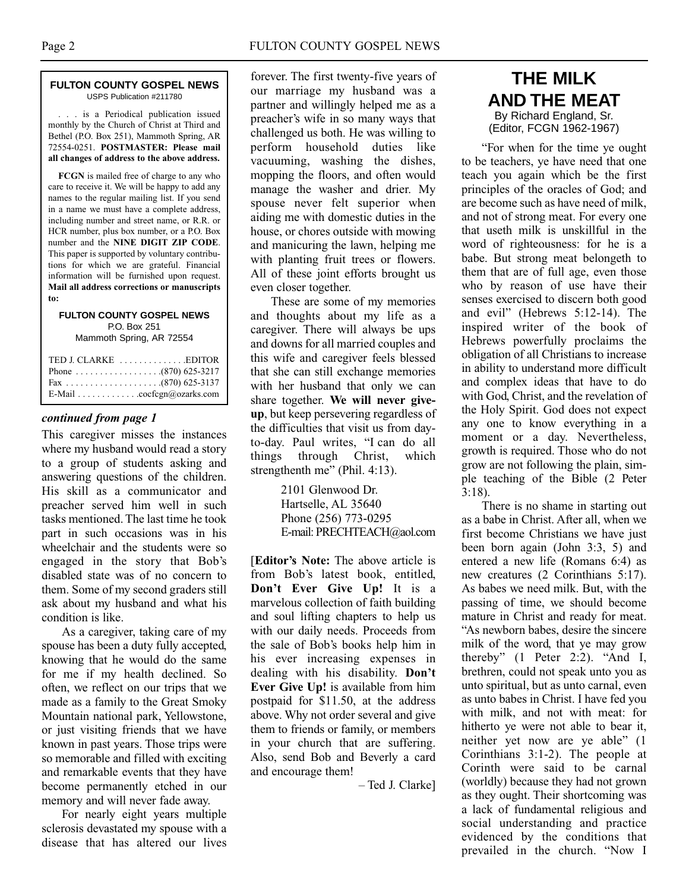## **FULTON COUNTY GOSPEL NEWS** USPS Publication #211780

. . . is a Periodical publication issued monthly by the Church of Christ at Third and Bethel (P.O. Box 251), Mammoth Spring, AR 72554-0251. **POSTMASTER: Please mail all changes of address to the above address.**

**FCGN** is mailed free of charge to any who care to receive it. We will be happy to add any names to the regular mailing list. If you send in a name we must have a complete address, including number and street name, or R.R. or HCR number, plus box number, or a P.O. Box number and the **NINE DIGIT ZIP CODE**. This paper is supported by voluntary contributions for which we are grateful. Financial information will be furnished upon request. **Mail all address corrections or manuscripts to:**

#### **FULTON COUNTY GOSPEL NEWS** P.O. Box 251 Mammoth Spring, AR 72554

| TED J. CLARKE EDITOR      |  |
|---------------------------|--|
|                           |  |
|                           |  |
| E-Mail cocfcgn@ozarks.com |  |

## *continued from page 1*

This caregiver misses the instances where my husband would read a story to a group of students asking and answering questions of the children. His skill as a communicator and preacher served him well in such tasks mentioned. The last time he took part in such occasions was in his wheelchair and the students were so engaged in the story that Bob's disabled state was of no concern to them. Some of my second graders still ask about my husband and what his condition is like.

As a caregiver, taking care of my spouse has been a duty fully accepted, knowing that he would do the same for me if my health declined. So often, we reflect on our trips that we made as a family to the Great Smoky Mountain national park, Yellowstone, or just visiting friends that we have known in past years. Those trips were so memorable and filled with exciting and remarkable events that they have become permanently etched in our memory and will never fade away.

For nearly eight years multiple sclerosis devastated my spouse with a disease that has altered our lives

forever. The first twenty-five years of our marriage my husband was a partner and willingly helped me as a preacher's wife in so many ways that challenged us both. He was willing to perform household duties like vacuuming, washing the dishes, mopping the floors, and often would manage the washer and drier. My spouse never felt superior when aiding me with domestic duties in the house, or chores outside with mowing and manicuring the lawn, helping me with planting fruit trees or flowers. All of these joint efforts brought us even closer together.

These are some of my memories and thoughts about my life as a caregiver. There will always be ups and downs for all married couples and this wife and caregiver feels blessed that she can still exchange memories with her husband that only we can share together. **We will never giveup**, but keep persevering regardless of the difficulties that visit us from dayto-day. Paul writes, "I can do all things through Christ, which strengthenth me" (Phil. 4:13).

> 2101 Glenwood Dr. Hartselle, AL 35640 Phone (256) 773-0295 E-mail: PRECHTEACH@aol.com

[**Editor's Note:** The above article is from Bob's latest book, entitled, **Don't Ever Give Up!** It is a marvelous collection of faith building and soul lifting chapters to help us with our daily needs. Proceeds from the sale of Bob's books help him in his ever increasing expenses in dealing with his disability. **Don't Ever Give Up!** is available from him postpaid for \$11.50, at the address above. Why not order several and give them to friends or family, or members in your church that are suffering. Also, send Bob and Beverly a card and encourage them!

– Ted J. Clarke]

## **THE MILK AND THE MEAT** By Richard England, Sr. (Editor, FCGN 1962-1967)

"For when for the time ye ought to be teachers, ye have need that one teach you again which be the first principles of the oracles of God; and are become such as have need of milk, and not of strong meat. For every one that useth milk is unskillful in the word of righteousness: for he is a babe. But strong meat belongeth to them that are of full age, even those who by reason of use have their senses exercised to discern both good and evil" (Hebrews 5:12-14). The inspired writer of the book of Hebrews powerfully proclaims the obligation of all Christians to increase in ability to understand more difficult and complex ideas that have to do with God, Christ, and the revelation of the Holy Spirit. God does not expect any one to know everything in a moment or a day. Nevertheless, growth is required. Those who do not grow are not following the plain, simple teaching of the Bible (2 Peter 3:18).

There is no shame in starting out as a babe in Christ. After all, when we first become Christians we have just been born again (John 3:3, 5) and entered a new life (Romans 6:4) as new creatures (2 Corinthians 5:17). As babes we need milk. But, with the passing of time, we should become mature in Christ and ready for meat. "As newborn babes, desire the sincere milk of the word, that ye may grow thereby" (1 Peter 2:2). "And I, brethren, could not speak unto you as unto spiritual, but as unto carnal, even as unto babes in Christ. I have fed you with milk, and not with meat: for hitherto ye were not able to bear it, neither yet now are ye able" (1 Corinthians 3:1-2). The people at Corinth were said to be carnal (worldly) because they had not grown as they ought. Their shortcoming was a lack of fundamental religious and social understanding and practice evidenced by the conditions that prevailed in the church. "Now I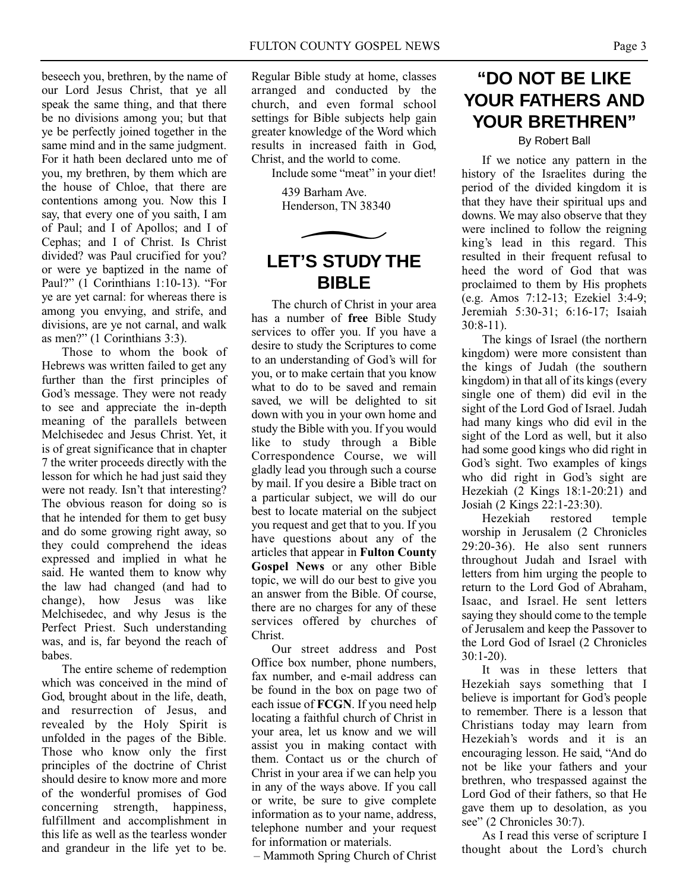beseech you, brethren, by the name of our Lord Jesus Christ, that ye all speak the same thing, and that there be no divisions among you; but that ye be perfectly joined together in the same mind and in the same judgment. For it hath been declared unto me of you, my brethren, by them which are the house of Chloe, that there are contentions among you. Now this I say, that every one of you saith, I am of Paul; and I of Apollos; and I of Cephas; and I of Christ. Is Christ divided? was Paul crucified for you? or were ye baptized in the name of Paul?" (1 Corinthians 1:10-13). "For ye are yet carnal: for whereas there is among you envying, and strife, and divisions, are ye not carnal, and walk as men?" (1 Corinthians 3:3).

Those to whom the book of Hebrews was written failed to get any further than the first principles of God's message. They were not ready to see and appreciate the in-depth meaning of the parallels between Melchisedec and Jesus Christ. Yet, it is of great significance that in chapter 7 the writer proceeds directly with the lesson for which he had just said they were not ready. Isn't that interesting? The obvious reason for doing so is that he intended for them to get busy and do some growing right away, so they could comprehend the ideas expressed and implied in what he said. He wanted them to know why the law had changed (and had to change), how Jesus was like Melchisedec, and why Jesus is the Perfect Priest. Such understanding was, and is, far beyond the reach of babes.

The entire scheme of redemption which was conceived in the mind of God, brought about in the life, death, and resurrection of Jesus, and revealed by the Holy Spirit is unfolded in the pages of the Bible. Those who know only the first principles of the doctrine of Christ should desire to know more and more of the wonderful promises of God concerning strength, happiness, fulfillment and accomplishment in this life as well as the tearless wonder and grandeur in the life yet to be.

Regular Bible study at home, classes arranged and conducted by the church, and even formal school settings for Bible subjects help gain greater knowledge of the Word which results in increased faith in God, Christ, and the world to come.

Include some "meat" in your diet!

439 Barham Ave. Henderson, TN 38340 Werson, Trypos M

# **LET'S STUDY THE BIBLE**

The church of Christ in your area has a number of **free** Bible Study services to offer you. If you have a desire to study the Scriptures to come to an understanding of God's will for you, or to make certain that you know what to do to be saved and remain saved, we will be delighted to sit down with you in your own home and study the Bible with you. If you would like to study through a Bible Correspondence Course, we will gladly lead you through such a course by mail. If you desire a Bible tract on a particular subject, we will do our best to locate material on the subject you request and get that to you. If you have questions about any of the articles that appear in **Fulton County Gospel News** or any other Bible topic, we will do our best to give you an answer from the Bible. Of course, there are no charges for any of these services offered by churches of Christ.

Our street address and Post Office box number, phone numbers, fax number, and e-mail address can be found in the box on page two of each issue of **FCGN**. If you need help locating a faithful church of Christ in your area, let us know and we will assist you in making contact with them. Contact us or the church of Christ in your area if we can help you in any of the ways above. If you call or write, be sure to give complete information as to your name, address, telephone number and your request for information or materials.

– Mammoth Spring Church of Christ

# **"DO NOT BE LIKE YOUR FATHERS AND YOUR BRETHREN"**

By Robert Ball

If we notice any pattern in the history of the Israelites during the period of the divided kingdom it is that they have their spiritual ups and downs. We may also observe that they were inclined to follow the reigning king's lead in this regard. This resulted in their frequent refusal to heed the word of God that was proclaimed to them by His prophets (e.g. Amos 7:12-13; Ezekiel 3:4-9; Jeremiah 5:30-31; 6:16-17; Isaiah 30:8-11).

The kings of Israel (the northern kingdom) were more consistent than the kings of Judah (the southern kingdom) in that all of its kings (every single one of them) did evil in the sight of the Lord God of Israel. Judah had many kings who did evil in the sight of the Lord as well, but it also had some good kings who did right in God's sight. Two examples of kings who did right in God's sight are Hezekiah (2 Kings 18:1-20:21) and Josiah (2 Kings 22:1-23:30).

Hezekiah restored temple worship in Jerusalem (2 Chronicles 29:20-36). He also sent runners throughout Judah and Israel with letters from him urging the people to return to the Lord God of Abraham, Isaac, and Israel. He sent letters saying they should come to the temple of Jerusalem and keep the Passover to the Lord God of Israel (2 Chronicles 30:1-20).

It was in these letters that Hezekiah says something that I believe is important for God's people to remember. There is a lesson that Christians today may learn from Hezekiah's words and it is an encouraging lesson. He said, "And do not be like your fathers and your brethren, who trespassed against the Lord God of their fathers, so that He gave them up to desolation, as you see" (2 Chronicles 30:7).

As I read this verse of scripture I thought about the Lord's church